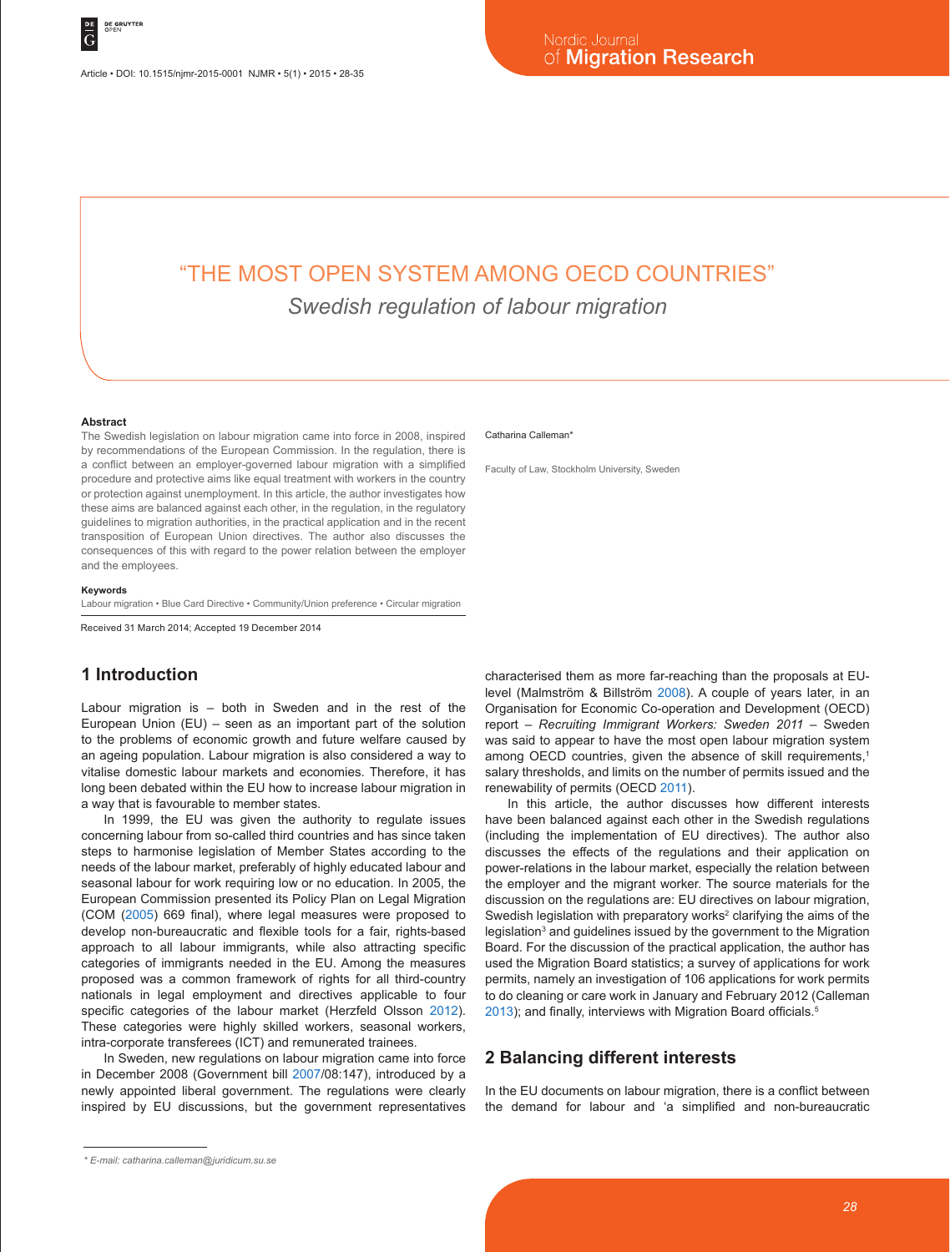Article • DOI: 10.1515/njmr-2015-0001 NJMR • 5(1) • 2015 • 28-35

# "THE MOST OPEN SYSTEM AMONG OECD COUNTRIES" *Swedish regulation of labour migration*

#### **Abstract**

The Swedish legislation on labour migration came into force in 2008, inspired by recommendations of the European Commission. In the regulation, there is a conflict between an employer-governed labour migration with a simplified procedure and protective aims like equal treatment with workers in the country or protection against unemployment. In this article, the author investigates how these aims are balanced against each other, in the regulation, in the regulatory guidelines to migration authorities, in the practical application and in the recent transposition of European Union directives. The author also discusses the consequences of this with regard to the power relation between the employer and the employees.

#### **Keywords**

Labour migration • Blue Card Directive • Community/Union preference • Circular migration

Received 31 March 2014; Accepted 19 December 2014

# **1 Introduction**

Labour migration is – both in Sweden and in the rest of the European Union (EU) – seen as an important part of the solution to the problems of economic growth and future welfare caused by an ageing population. Labour migration is also considered a way to vitalise domestic labour markets and economies. Therefore, it has long been debated within the EU how to increase labour migration in a way that is favourable to member states.

In 1999, the EU was given the authority to regulate issues concerning labour from so-called third countries and has since taken steps to harmonise legislation of Member States according to the needs of the labour market, preferably of highly educated labour and seasonal labour for work requiring low or no education. In 2005, the European Commission presented its Policy Plan on Legal Migration (COM (2005) 669 final), where legal measures were proposed to develop non-bureaucratic and flexible tools for a fair, rights-based approach to all labour immigrants, while also attracting specific categories of immigrants needed in the EU. Among the measures proposed was a common framework of rights for all third-country nationals in legal employment and directives applicable to four specific categories of the labour market (Herzfeld Olsson 2012). These categories were highly skilled workers, seasonal workers, intra-corporate transferees (ICT) and remunerated trainees.

In Sweden, new regulations on labour migration came into force in December 2008 (Government bill 2007/08:147), introduced by a newly appointed liberal government. The regulations were clearly inspired by EU discussions, but the government representatives Faculty of Law, Stockholm University, Sweden

characterised them as more far-reaching than the proposals at EUlevel (Malmström & Billström 2008). A couple of years later, in an Organisation for Economic Co-operation and Development (OECD) report – *Recruiting Immigrant Workers: Sweden 2011* – Sweden was said to appear to have the most open labour migration system among OECD countries, given the absence of skill requirements,<sup>1</sup> salary thresholds, and limits on the number of permits issued and the renewability of permits (OECD 2011).

In this article, the author discusses how different interests have been balanced against each other in the Swedish regulations (including the implementation of EU directives). The author also discusses the effects of the regulations and their application on power-relations in the labour market, especially the relation between the employer and the migrant worker. The source materials for the discussion on the regulations are: EU directives on labour migration, Swedish legislation with preparatory works<sup>2</sup> clarifying the aims of the legislation<sup>3</sup> and guidelines issued by the government to the Migration Board. For the discussion of the practical application, the author has used the Migration Board statistics; a survey of applications for work permits, namely an investigation of 106 applications for work permits to do cleaning or care work in January and February 2012 (Calleman 2013); and finally, interviews with Migration Board officials.<sup>5</sup>

#### **2 Balancing different interests**

In the EU documents on labour migration, there is a conflict between the demand for labour and 'a simplified and non-bureaucratic

Catharina Calleman<sup>\*</sup>

*<sup>\*</sup> E-mail: catharina.calleman@juridicum.su.se*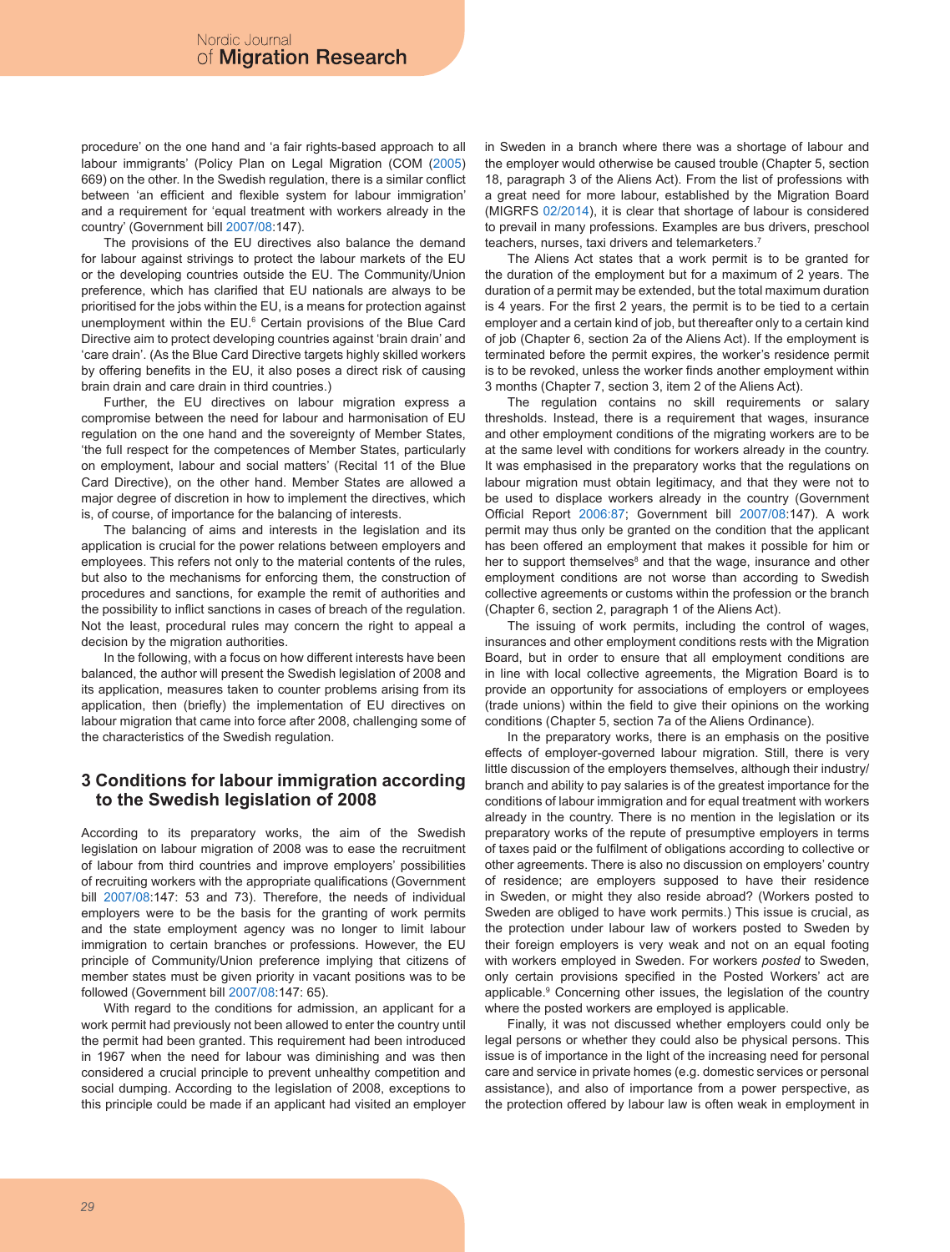procedure' on the one hand and 'a fair rights-based approach to all labour immigrants' (Policy Plan on Legal Migration (COM (2005) 669) on the other. In the Swedish regulation, there is a similar conflict between 'an efficient and flexible system for labour immigration' and a requirement for 'equal treatment with workers already in the country' (Government bill 2007/08:147).

The provisions of the EU directives also balance the demand for labour against strivings to protect the labour markets of the EU or the developing countries outside the EU. The Community/Union preference, which has clarified that EU nationals are always to be prioritised for the jobs within the EU, is a means for protection against unemployment within the EU.6 Certain provisions of the Blue Card Directive aim to protect developing countries against 'brain drain' and 'care drain'. (As the Blue Card Directive targets highly skilled workers by offering benefits in the EU, it also poses a direct risk of causing brain drain and care drain in third countries.)

Further, the EU directives on labour migration express a compromise between the need for labour and harmonisation of EU regulation on the one hand and the sovereignty of Member States, 'the full respect for the competences of Member States, particularly on employment, labour and social matters' (Recital 11 of the Blue Card Directive), on the other hand. Member States are allowed a major degree of discretion in how to implement the directives, which is, of course, of importance for the balancing of interests.

The balancing of aims and interests in the legislation and its application is crucial for the power relations between employers and employees. This refers not only to the material contents of the rules, but also to the mechanisms for enforcing them, the construction of procedures and sanctions, for example the remit of authorities and the possibility to inflict sanctions in cases of breach of the regulation. Not the least, procedural rules may concern the right to appeal a decision by the migration authorities.

In the following, with a focus on how different interests have been balanced, the author will present the Swedish legislation of 2008 and its application, measures taken to counter problems arising from its application, then (briefly) the implementation of EU directives on labour migration that came into force after 2008, challenging some of the characteristics of the Swedish regulation.

### **3 Conditions for labour immigration according to the Swedish legislation of 2008**

According to its preparatory works, the aim of the Swedish legislation on labour migration of 2008 was to ease the recruitment of labour from third countries and improve employers' possibilities of recruiting workers with the appropriate qualifications (Government bill 2007/08:147: 53 and 73). Therefore, the needs of individual employers were to be the basis for the granting of work permits and the state employment agency was no longer to limit labour immigration to certain branches or professions. However, the EU principle of Community/Union preference implying that citizens of member states must be given priority in vacant positions was to be followed (Government bill 2007/08:147: 65).

With regard to the conditions for admission, an applicant for a work permit had previously not been allowed to enter the country until the permit had been granted. This requirement had been introduced in 1967 when the need for labour was diminishing and was then considered a crucial principle to prevent unhealthy competition and social dumping. According to the legislation of 2008, exceptions to this principle could be made if an applicant had visited an employer in Sweden in a branch where there was a shortage of labour and the employer would otherwise be caused trouble (Chapter 5, section 18, paragraph 3 of the Aliens Act). From the list of professions with a great need for more labour, established by the Migration Board (MIGRFS 02/2014), it is clear that shortage of labour is considered to prevail in many professions. Examples are bus drivers, preschool teachers, nurses, taxi drivers and telemarketers.<sup>7</sup>

The Aliens Act states that a work permit is to be granted for the duration of the employment but for a maximum of 2 years. The duration of a permit may be extended, but the total maximum duration is 4 years. For the first 2 years, the permit is to be tied to a certain employer and a certain kind of job, but thereafter only to a certain kind of job (Chapter 6, section 2a of the Aliens Act). If the employment is terminated before the permit expires, the worker's residence permit is to be revoked, unless the worker finds another employment within 3 months (Chapter 7, section 3, item 2 of the Aliens Act).

The regulation contains no skill requirements or salary thresholds. Instead, there is a requirement that wages, insurance and other employment conditions of the migrating workers are to be at the same level with conditions for workers already in the country. It was emphasised in the preparatory works that the regulations on labour migration must obtain legitimacy, and that they were not to be used to displace workers already in the country (Government Official Report 2006:87; Government bill 2007/08:147). A work permit may thus only be granted on the condition that the applicant has been offered an employment that makes it possible for him or her to support themselves<sup>8</sup> and that the wage, insurance and other employment conditions are not worse than according to Swedish collective agreements or customs within the profession or the branch (Chapter 6, section 2, paragraph 1 of the Aliens Act).

The issuing of work permits, including the control of wages, insurances and other employment conditions rests with the Migration Board, but in order to ensure that all employment conditions are in line with local collective agreements, the Migration Board is to provide an opportunity for associations of employers or employees (trade unions) within the field to give their opinions on the working conditions (Chapter 5, section 7a of the Aliens Ordinance).

In the preparatory works, there is an emphasis on the positive effects of employer-governed labour migration. Still, there is very little discussion of the employers themselves, although their industry/ branch and ability to pay salaries is of the greatest importance for the conditions of labour immigration and for equal treatment with workers already in the country. There is no mention in the legislation or its preparatory works of the repute of presumptive employers in terms of taxes paid or the fulfilment of obligations according to collective or other agreements. There is also no discussion on employers' country of residence; are employers supposed to have their residence in Sweden, or might they also reside abroad? (Workers posted to Sweden are obliged to have work permits.) This issue is crucial, as the protection under labour law of workers posted to Sweden by their foreign employers is very weak and not on an equal footing with workers employed in Sweden. For workers *posted* to Sweden, only certain provisions specified in the Posted Workers' act are applicable.<sup>9</sup> Concerning other issues, the legislation of the country where the posted workers are employed is applicable.

Finally, it was not discussed whether employers could only be legal persons or whether they could also be physical persons. This issue is of importance in the light of the increasing need for personal care and service in private homes (e.g. domestic services or personal assistance), and also of importance from a power perspective, as the protection offered by labour law is often weak in employment in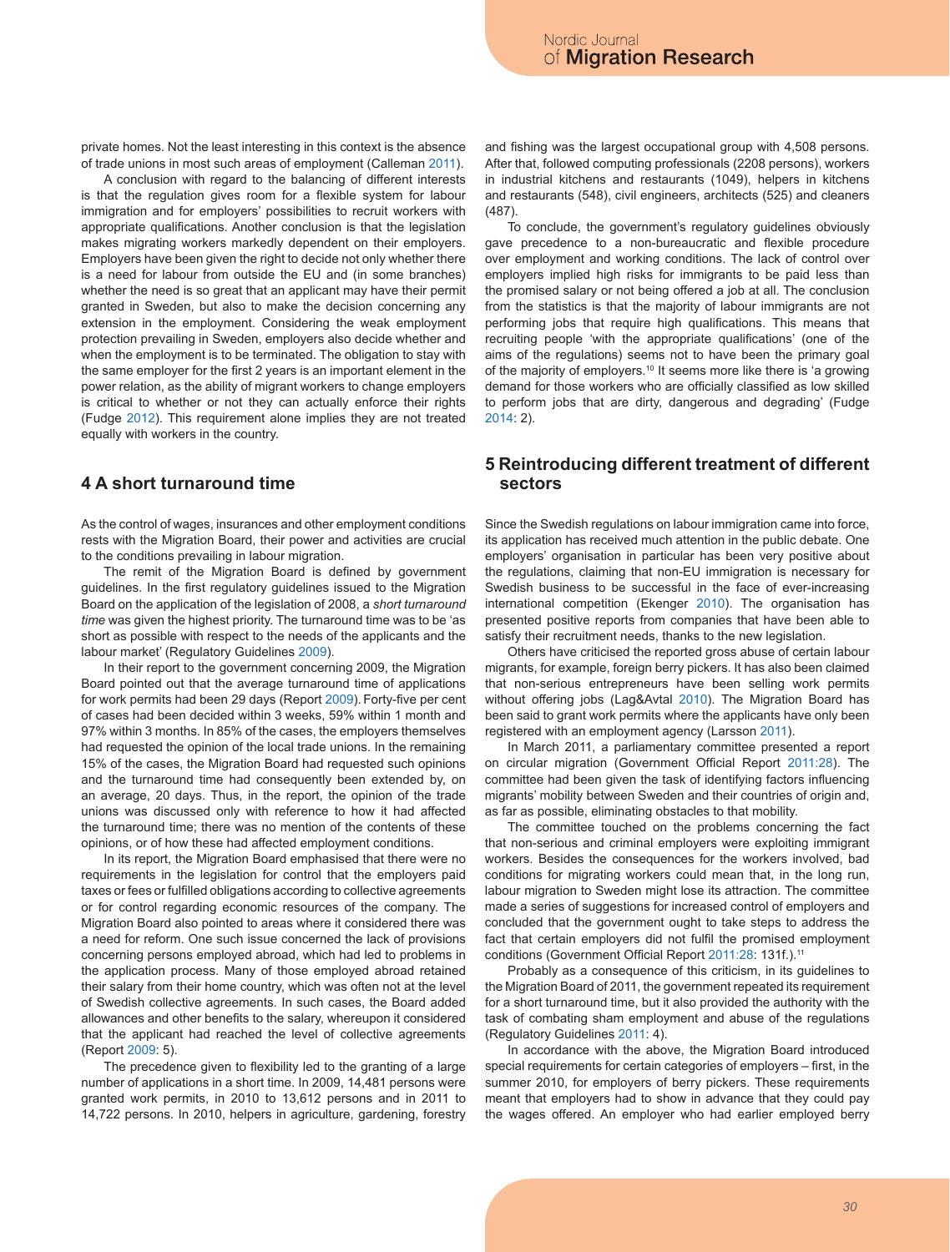private homes. Not the least interesting in this context is the absence of trade unions in most such areas of employment (Calleman 2011).

A conclusion with regard to the balancing of different interests is that the regulation gives room for a flexible system for labour immigration and for employers' possibilities to recruit workers with appropriate qualifications. Another conclusion is that the legislation makes migrating workers markedly dependent on their employers. Employers have been given the right to decide not only whether there is a need for labour from outside the EU and (in some branches) whether the need is so great that an applicant may have their permit granted in Sweden, but also to make the decision concerning any extension in the employment. Considering the weak employment protection prevailing in Sweden, employers also decide whether and when the employment is to be terminated. The obligation to stay with the same employer for the first 2 years is an important element in the power relation, as the ability of migrant workers to change employers is critical to whether or not they can actually enforce their rights (Fudge 2012). This requirement alone implies they are not treated equally with workers in the country.

### **4 A short turnaround time**

As the control of wages, insurances and other employment conditions rests with the Migration Board, their power and activities are crucial to the conditions prevailing in labour migration.

The remit of the Migration Board is defined by government guidelines. In the first regulatory guidelines issued to the Migration Board on the application of the legislation of 2008, a *short turnaround time* was given the highest priority. The turnaround time was to be 'as short as possible with respect to the needs of the applicants and the labour market' (Regulatory Guidelines 2009).

In their report to the government concerning 2009, the Migration Board pointed out that the average turnaround time of applications for work permits had been 29 days (Report 2009). Forty-five per cent of cases had been decided within 3 weeks, 59% within 1 month and 97% within 3 months. In 85% of the cases, the employers themselves had requested the opinion of the local trade unions. In the remaining 15% of the cases, the Migration Board had requested such opinions and the turnaround time had consequently been extended by, on an average, 20 days. Thus, in the report, the opinion of the trade unions was discussed only with reference to how it had affected the turnaround time; there was no mention of the contents of these opinions, or of how these had affected employment conditions.

In its report, the Migration Board emphasised that there were no requirements in the legislation for control that the employers paid taxes or fees or fulfilled obligations according to collective agreements or for control regarding economic resources of the company. The Migration Board also pointed to areas where it considered there was a need for reform. One such issue concerned the lack of provisions concerning persons employed abroad, which had led to problems in the application process. Many of those employed abroad retained their salary from their home country, which was often not at the level of Swedish collective agreements. In such cases, the Board added allowances and other benefits to the salary, whereupon it considered that the applicant had reached the level of collective agreements (Report 2009: 5).

The precedence given to flexibility led to the granting of a large number of applications in a short time. In 2009, 14,481 persons were granted work permits, in 2010 to 13,612 persons and in 2011 to 14,722 persons. In 2010, helpers in agriculture, gardening, forestry and fishing was the largest occupational group with 4,508 persons. After that, followed computing professionals (2208 persons), workers in industrial kitchens and restaurants (1049), helpers in kitchens and restaurants (548), civil engineers, architects (525) and cleaners (487).

To conclude, the government's regulatory guidelines obviously gave precedence to a non-bureaucratic and flexible procedure over employment and working conditions. The lack of control over employers implied high risks for immigrants to be paid less than the promised salary or not being offered a job at all. The conclusion from the statistics is that the majority of labour immigrants are not performing jobs that require high qualifications. This means that recruiting people 'with the appropriate qualifications' (one of the aims of the regulations) seems not to have been the primary goal of the majority of employers.10 It seems more like there is 'a growing demand for those workers who are officially classified as low skilled to perform jobs that are dirty, dangerous and degrading' (Fudge 2014: 2).

#### **5 Reintroducing different treatment of different sectors**

Since the Swedish regulations on labour immigration came into force, its application has received much attention in the public debate. One employers' organisation in particular has been very positive about the regulations, claiming that non-EU immigration is necessary for Swedish business to be successful in the face of ever-increasing international competition (Ekenger 2010). The organisation has presented positive reports from companies that have been able to satisfy their recruitment needs, thanks to the new legislation.

Others have criticised the reported gross abuse of certain labour migrants, for example, foreign berry pickers. It has also been claimed that non-serious entrepreneurs have been selling work permits without offering jobs (Lag&Avtal 2010). The Migration Board has been said to grant work permits where the applicants have only been registered with an employment agency (Larsson 2011).

In March 2011, a parliamentary committee presented a report on circular migration (Government Official Report 2011:28). The committee had been given the task of identifying factors influencing migrants' mobility between Sweden and their countries of origin and, as far as possible, eliminating obstacles to that mobility.

The committee touched on the problems concerning the fact that non-serious and criminal employers were exploiting immigrant workers. Besides the consequences for the workers involved, bad conditions for migrating workers could mean that, in the long run, labour migration to Sweden might lose its attraction. The committee made a series of suggestions for increased control of employers and concluded that the government ought to take steps to address the fact that certain employers did not fulfil the promised employment conditions (Government Official Report 2011:28: 131f.).<sup>11</sup>

Probably as a consequence of this criticism, in its guidelines to the Migration Board of 2011, the government repeated its requirement for a short turnaround time, but it also provided the authority with the task of combating sham employment and abuse of the regulations (Regulatory Guidelines 2011: 4).

In accordance with the above, the Migration Board introduced special requirements for certain categories of employers – first, in the summer 2010, for employers of berry pickers. These requirements meant that employers had to show in advance that they could pay the wages offered. An employer who had earlier employed berry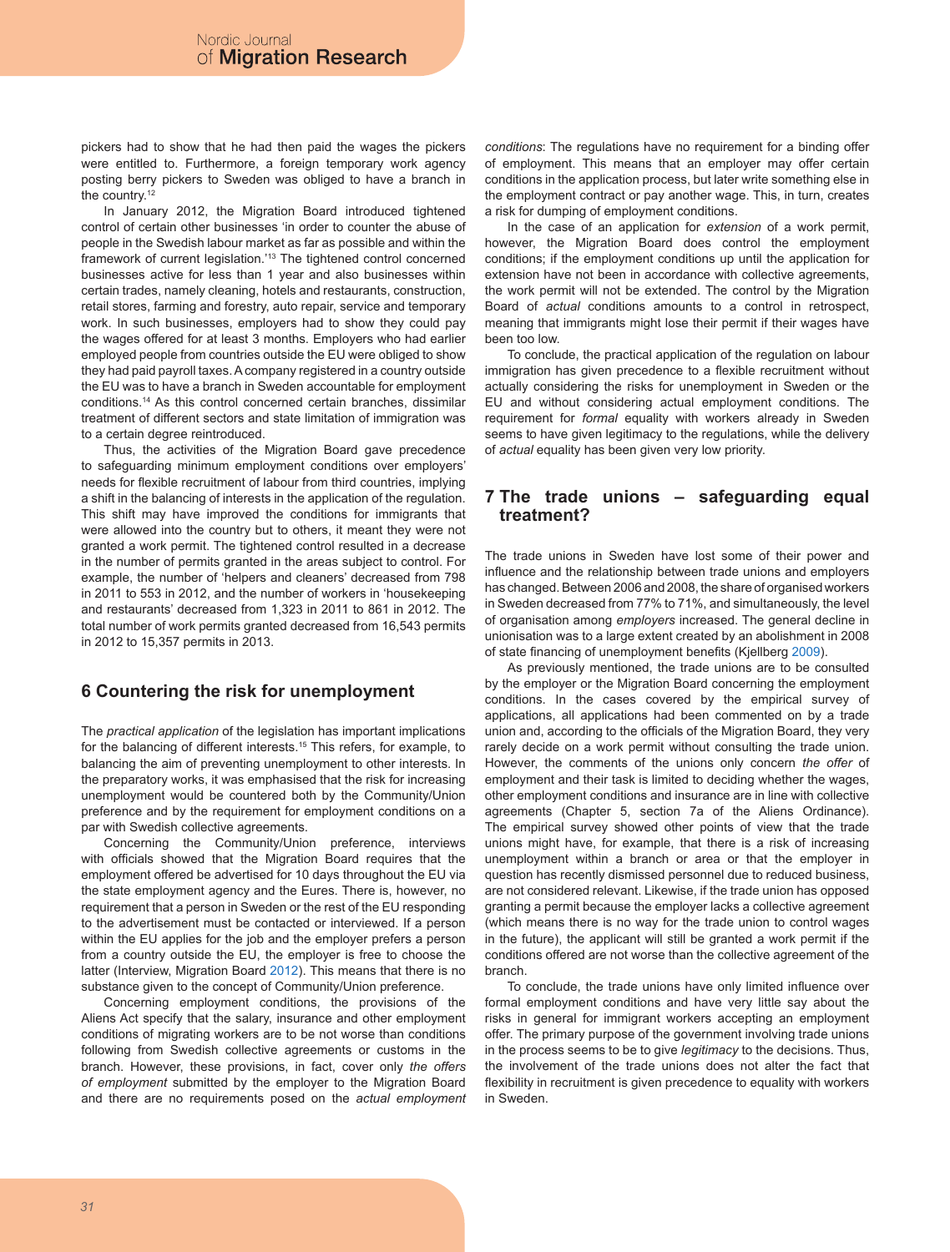pickers had to show that he had then paid the wages the pickers were entitled to. Furthermore, a foreign temporary work agency posting berry pickers to Sweden was obliged to have a branch in the country.<sup>12</sup>

In January 2012, the Migration Board introduced tightened control of certain other businesses 'in order to counter the abuse of people in the Swedish labour market as far as possible and within the framework of current legislation.'13 The tightened control concerned businesses active for less than 1 year and also businesses within certain trades, namely cleaning, hotels and restaurants, construction, retail stores, farming and forestry, auto repair, service and temporary work. In such businesses, employers had to show they could pay the wages offered for at least 3 months. Employers who had earlier employed people from countries outside the EU were obliged to show they had paid payroll taxes. A company registered in a country outside the EU was to have a branch in Sweden accountable for employment conditions.14 As this control concerned certain branches, dissimilar treatment of different sectors and state limitation of immigration was to a certain degree reintroduced.

Thus, the activities of the Migration Board gave precedence to safeguarding minimum employment conditions over employers' needs for flexible recruitment of labour from third countries, implying a shift in the balancing of interests in the application of the regulation. This shift may have improved the conditions for immigrants that were allowed into the country but to others, it meant they were not granted a work permit. The tightened control resulted in a decrease in the number of permits granted in the areas subject to control. For example, the number of 'helpers and cleaners' decreased from 798 in 2011 to 553 in 2012, and the number of workers in 'housekeeping and restaurants' decreased from 1,323 in 2011 to 861 in 2012. The total number of work permits granted decreased from 16,543 permits in 2012 to 15,357 permits in 2013.

# **6 Countering the risk for unemployment**

The *practical application* of the legislation has important implications for the balancing of different interests.<sup>15</sup> This refers, for example, to balancing the aim of preventing unemployment to other interests. In the preparatory works, it was emphasised that the risk for increasing unemployment would be countered both by the Community/Union preference and by the requirement for employment conditions on a par with Swedish collective agreements.

Concerning the Community/Union preference, interviews with officials showed that the Migration Board requires that the employment offered be advertised for 10 days throughout the EU via the state employment agency and the Eures. There is, however, no requirement that a person in Sweden or the rest of the EU responding to the advertisement must be contacted or interviewed. If a person within the EU applies for the job and the employer prefers a person from a country outside the EU, the employer is free to choose the latter (Interview, Migration Board 2012). This means that there is no substance given to the concept of Community/Union preference.

Concerning employment conditions, the provisions of the Aliens Act specify that the salary, insurance and other employment conditions of migrating workers are to be not worse than conditions following from Swedish collective agreements or customs in the branch. However, these provisions, in fact, cover only *the offers of employment* submitted by the employer to the Migration Board and there are no requirements posed on the *actual employment*  *conditions*: The regulations have no requirement for a binding offer of employment. This means that an employer may offer certain conditions in the application process, but later write something else in the employment contract or pay another wage. This, in turn, creates a risk for dumping of employment conditions.

In the case of an application for *extension* of a work permit, however, the Migration Board does control the employment conditions; if the employment conditions up until the application for extension have not been in accordance with collective agreements, the work permit will not be extended. The control by the Migration Board of *actual* conditions amounts to a control in retrospect, meaning that immigrants might lose their permit if their wages have been too low.

To conclude, the practical application of the regulation on labour immigration has given precedence to a flexible recruitment without actually considering the risks for unemployment in Sweden or the EU and without considering actual employment conditions. The requirement for *formal* equality with workers already in Sweden seems to have given legitimacy to the regulations, while the delivery of *actual* equality has been given very low priority.

#### **7 The trade unions – safeguarding equal treatment?**

The trade unions in Sweden have lost some of their power and influence and the relationship between trade unions and employers has changed. Between 2006 and 2008, the share of organised workers in Sweden decreased from 77% to 71%, and simultaneously, the level of organisation among *employers* increased. The general decline in unionisation was to a large extent created by an abolishment in 2008 of state financing of unemployment benefits (Kjellberg 2009).

As previously mentioned, the trade unions are to be consulted by the employer or the Migration Board concerning the employment conditions. In the cases covered by the empirical survey of applications, all applications had been commented on by a trade union and, according to the officials of the Migration Board, they very rarely decide on a work permit without consulting the trade union. However, the comments of the unions only concern *the offer* of employment and their task is limited to deciding whether the wages, other employment conditions and insurance are in line with collective agreements (Chapter 5, section 7a of the Aliens Ordinance). The empirical survey showed other points of view that the trade unions might have, for example, that there is a risk of increasing unemployment within a branch or area or that the employer in question has recently dismissed personnel due to reduced business, are not considered relevant. Likewise, if the trade union has opposed granting a permit because the employer lacks a collective agreement (which means there is no way for the trade union to control wages in the future), the applicant will still be granted a work permit if the conditions offered are not worse than the collective agreement of the branch.

To conclude, the trade unions have only limited influence over formal employment conditions and have very little say about the risks in general for immigrant workers accepting an employment offer. The primary purpose of the government involving trade unions in the process seems to be to give *legitimacy* to the decisions. Thus, the involvement of the trade unions does not alter the fact that flexibility in recruitment is given precedence to equality with workers in Sweden.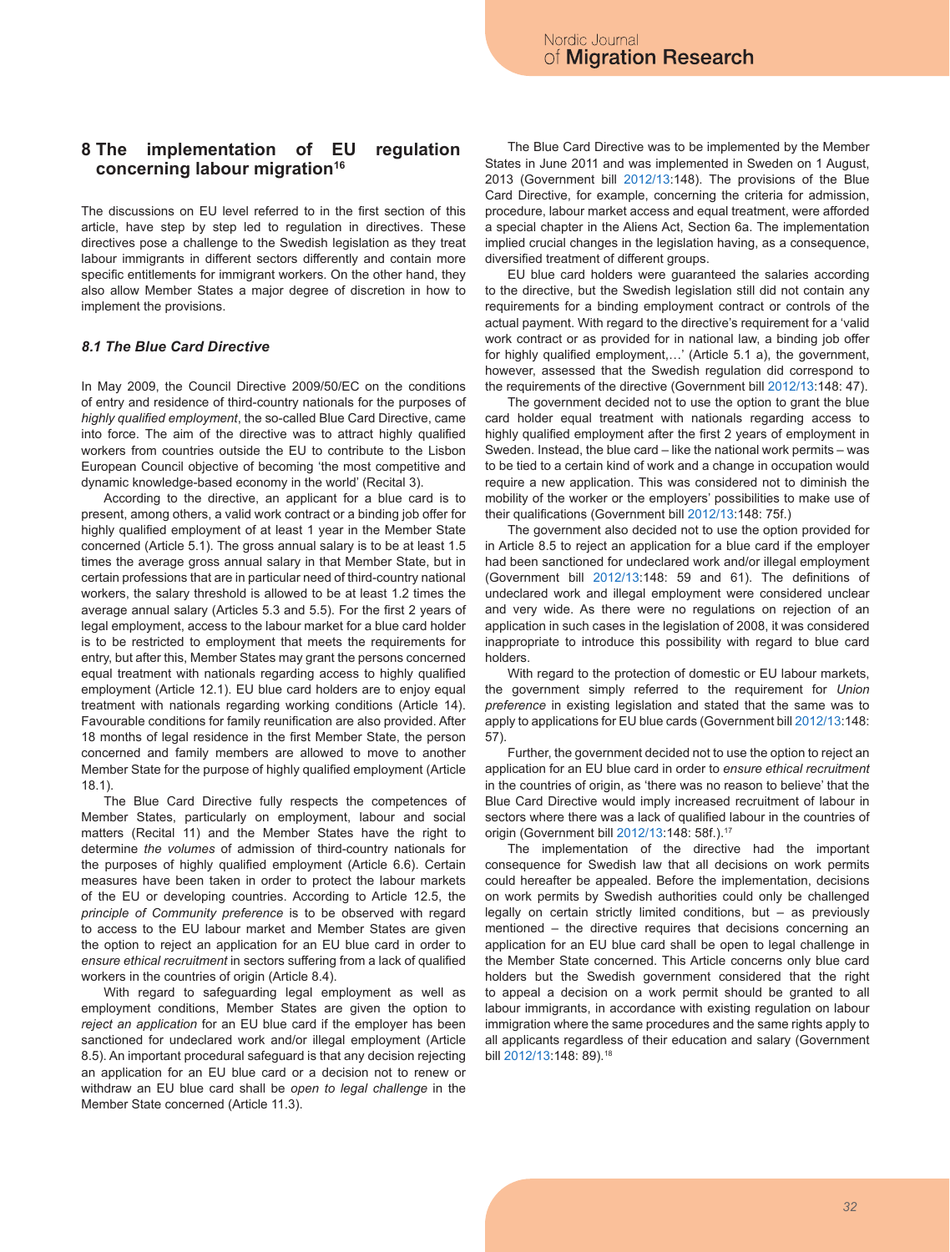# **8 The implementation of EU regulation concerning labour migration16**

The discussions on EU level referred to in the first section of this article, have step by step led to regulation in directives. These directives pose a challenge to the Swedish legislation as they treat labour immigrants in different sectors differently and contain more specific entitlements for immigrant workers. On the other hand, they also allow Member States a major degree of discretion in how to implement the provisions.

#### *8.1 The Blue Card Directive*

In May 2009, the Council Directive 2009/50/EC on the conditions of entry and residence of third-country nationals for the purposes of *highly qualified employment*, the so-called Blue Card Directive, came into force. The aim of the directive was to attract highly qualified workers from countries outside the EU to contribute to the Lisbon European Council objective of becoming 'the most competitive and dynamic knowledge-based economy in the world' (Recital 3).

According to the directive, an applicant for a blue card is to present, among others, a valid work contract or a binding job offer for highly qualified employment of at least 1 year in the Member State concerned (Article 5.1). The gross annual salary is to be at least 1.5 times the average gross annual salary in that Member State, but in certain professions that are in particular need of third-country national workers, the salary threshold is allowed to be at least 1.2 times the average annual salary (Articles 5.3 and 5.5). For the first 2 years of legal employment, access to the labour market for a blue card holder is to be restricted to employment that meets the requirements for entry, but after this, Member States may grant the persons concerned equal treatment with nationals regarding access to highly qualified employment (Article 12.1). EU blue card holders are to enjoy equal treatment with nationals regarding working conditions (Article 14). Favourable conditions for family reunification are also provided. After 18 months of legal residence in the first Member State, the person concerned and family members are allowed to move to another Member State for the purpose of highly qualified employment (Article 18.1).

The Blue Card Directive fully respects the competences of Member States, particularly on employment, labour and social matters (Recital 11) and the Member States have the right to determine *the volumes* of admission of third-country nationals for the purposes of highly qualified employment (Article 6.6). Certain measures have been taken in order to protect the labour markets of the EU or developing countries. According to Article 12.5, the *principle of Community preference* is to be observed with regard to access to the EU labour market and Member States are given the option to reject an application for an EU blue card in order to *ensure ethical recruitment* in sectors suffering from a lack of qualified workers in the countries of origin (Article 8.4).

With regard to safeguarding legal employment as well as employment conditions, Member States are given the option to *reject an application* for an EU blue card if the employer has been sanctioned for undeclared work and/or illegal employment (Article 8.5). An important procedural safeguard is that any decision rejecting an application for an EU blue card or a decision not to renew or withdraw an EU blue card shall be *open to legal challenge* in the Member State concerned (Article 11.3).

The Blue Card Directive was to be implemented by the Member States in June 2011 and was implemented in Sweden on 1 August, 2013 (Government bill 2012/13:148). The provisions of the Blue Card Directive, for example, concerning the criteria for admission, procedure, labour market access and equal treatment, were afforded a special chapter in the Aliens Act, Section 6a. The implementation implied crucial changes in the legislation having, as a consequence, diversified treatment of different groups.

EU blue card holders were guaranteed the salaries according to the directive, but the Swedish legislation still did not contain any requirements for a binding employment contract or controls of the actual payment. With regard to the directive's requirement for a 'valid work contract or as provided for in national law, a binding job offer for highly qualified employment,…' (Article 5.1 a), the government, however, assessed that the Swedish regulation did correspond to the requirements of the directive (Government bill 2012/13:148: 47).

The government decided not to use the option to grant the blue card holder equal treatment with nationals regarding access to highly qualified employment after the first 2 years of employment in Sweden. Instead, the blue card – like the national work permits – was to be tied to a certain kind of work and a change in occupation would require a new application. This was considered not to diminish the mobility of the worker or the employers' possibilities to make use of their qualifications (Government bill 2012/13:148: 75f.)

The government also decided not to use the option provided for in Article 8.5 to reject an application for a blue card if the employer had been sanctioned for undeclared work and/or illegal employment (Government bill 2012/13:148: 59 and 61). The definitions of undeclared work and illegal employment were considered unclear and very wide. As there were no regulations on rejection of an application in such cases in the legislation of 2008, it was considered inappropriate to introduce this possibility with regard to blue card holders.

With regard to the protection of domestic or EU labour markets, the government simply referred to the requirement for *Union preference* in existing legislation and stated that the same was to apply to applications for EU blue cards (Government bill 2012/13:148: 57).

Further, the government decided not to use the option to reject an application for an EU blue card in order to *ensure ethical recruitment* in the countries of origin, as 'there was no reason to believe' that the Blue Card Directive would imply increased recruitment of labour in sectors where there was a lack of qualified labour in the countries of origin (Government bill 2012/13:148: 58f.).17

The implementation of the directive had the important consequence for Swedish law that all decisions on work permits could hereafter be appealed. Before the implementation, decisions on work permits by Swedish authorities could only be challenged legally on certain strictly limited conditions, but – as previously mentioned – the directive requires that decisions concerning an application for an EU blue card shall be open to legal challenge in the Member State concerned. This Article concerns only blue card holders but the Swedish government considered that the right to appeal a decision on a work permit should be granted to all labour immigrants, in accordance with existing regulation on labour immigration where the same procedures and the same rights apply to all applicants regardless of their education and salary (Government bill 2012/13:148: 89).<sup>18</sup>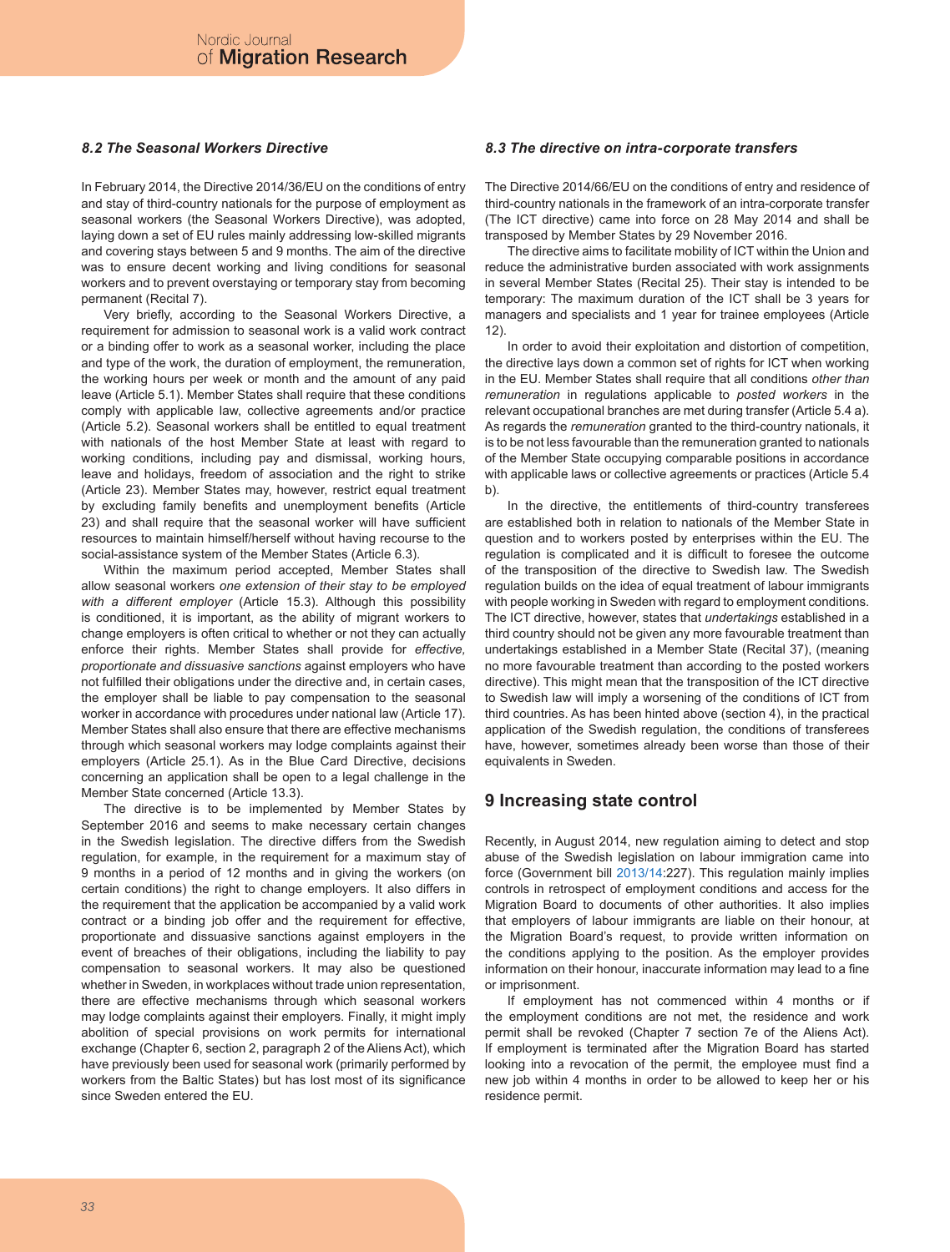#### *8.2 The Seasonal Workers Directive*

In February 2014, the Directive 2014/36/EU on the conditions of entry and stay of third-country nationals for the purpose of employment as seasonal workers (the Seasonal Workers Directive), was adopted, laying down a set of EU rules mainly addressing low-skilled migrants and covering stays between 5 and 9 months. The aim of the directive was to ensure decent working and living conditions for seasonal workers and to prevent overstaying or temporary stay from becoming permanent (Recital 7).

Very briefly, according to the Seasonal Workers Directive, a requirement for admission to seasonal work is a valid work contract or a binding offer to work as a seasonal worker, including the place and type of the work, the duration of employment, the remuneration, the working hours per week or month and the amount of any paid leave (Article 5.1). Member States shall require that these conditions comply with applicable law, collective agreements and/or practice (Article 5.2). Seasonal workers shall be entitled to equal treatment with nationals of the host Member State at least with regard to working conditions, including pay and dismissal, working hours, leave and holidays, freedom of association and the right to strike (Article 23). Member States may, however, restrict equal treatment by excluding family benefits and unemployment benefits (Article 23) and shall require that the seasonal worker will have sufficient resources to maintain himself/herself without having recourse to the social-assistance system of the Member States (Article 6.3).

Within the maximum period accepted, Member States shall allow seasonal workers *one extension of their stay to be employed with a different employer* (Article 15.3). Although this possibility is conditioned, it is important, as the ability of migrant workers to change employers is often critical to whether or not they can actually enforce their rights. Member States shall provide for *effective, proportionate and dissuasive sanctions* against employers who have not fulfilled their obligations under the directive and, in certain cases, the employer shall be liable to pay compensation to the seasonal worker in accordance with procedures under national law (Article 17). Member States shall also ensure that there are effective mechanisms through which seasonal workers may lodge complaints against their employers (Article 25.1). As in the Blue Card Directive, decisions concerning an application shall be open to a legal challenge in the Member State concerned (Article 13.3).

The directive is to be implemented by Member States by September 2016 and seems to make necessary certain changes in the Swedish legislation. The directive differs from the Swedish regulation, for example, in the requirement for a maximum stay of 9 months in a period of 12 months and in giving the workers (on certain conditions) the right to change employers. It also differs in the requirement that the application be accompanied by a valid work contract or a binding job offer and the requirement for effective, proportionate and dissuasive sanctions against employers in the event of breaches of their obligations, including the liability to pay compensation to seasonal workers. It may also be questioned whether in Sweden, in workplaces without trade union representation, there are effective mechanisms through which seasonal workers may lodge complaints against their employers. Finally, it might imply abolition of special provisions on work permits for international exchange (Chapter 6, section 2, paragraph 2 of the Aliens Act), which have previously been used for seasonal work (primarily performed by workers from the Baltic States) but has lost most of its significance since Sweden entered the EU.

#### *8.3 The directive on intra-corporate transfers*

The Directive 2014/66/EU on the conditions of entry and residence of third-country nationals in the framework of an intra-corporate transfer (The ICT directive) came into force on 28 May 2014 and shall be transposed by Member States by 29 November 2016.

The directive aims to facilitate mobility of ICT within the Union and reduce the administrative burden associated with work assignments in several Member States (Recital 25). Their stay is intended to be temporary: The maximum duration of the ICT shall be 3 years for managers and specialists and 1 year for trainee employees (Article  $12)$ 

In order to avoid their exploitation and distortion of competition, the directive lays down a common set of rights for ICT when working in the EU. Member States shall require that all conditions *other than remuneration* in regulations applicable to *posted workers* in the relevant occupational branches are met during transfer (Article 5.4 a). As regards the *remuneration* granted to the third-country nationals, it is to be not less favourable than the remuneration granted to nationals of the Member State occupying comparable positions in accordance with applicable laws or collective agreements or practices (Article 5.4 b).

In the directive, the entitlements of third-country transferees are established both in relation to nationals of the Member State in question and to workers posted by enterprises within the EU. The regulation is complicated and it is difficult to foresee the outcome of the transposition of the directive to Swedish law. The Swedish regulation builds on the idea of equal treatment of labour immigrants with people working in Sweden with regard to employment conditions. The ICT directive, however, states that *undertakings* established in a third country should not be given any more favourable treatment than undertakings established in a Member State (Recital 37), (meaning no more favourable treatment than according to the posted workers directive). This might mean that the transposition of the ICT directive to Swedish law will imply a worsening of the conditions of ICT from third countries. As has been hinted above (section 4), in the practical application of the Swedish regulation, the conditions of transferees have, however, sometimes already been worse than those of their equivalents in Sweden.

#### **9 Increasing state control**

Recently, in August 2014, new regulation aiming to detect and stop abuse of the Swedish legislation on labour immigration came into force (Government bill 2013/14:227). This regulation mainly implies controls in retrospect of employment conditions and access for the Migration Board to documents of other authorities. It also implies that employers of labour immigrants are liable on their honour, at the Migration Board's request, to provide written information on the conditions applying to the position. As the employer provides information on their honour, inaccurate information may lead to a fine or imprisonment.

If employment has not commenced within 4 months or if the employment conditions are not met, the residence and work permit shall be revoked (Chapter 7 section 7e of the Aliens Act). If employment is terminated after the Migration Board has started looking into a revocation of the permit, the employee must find a new job within 4 months in order to be allowed to keep her or his residence permit.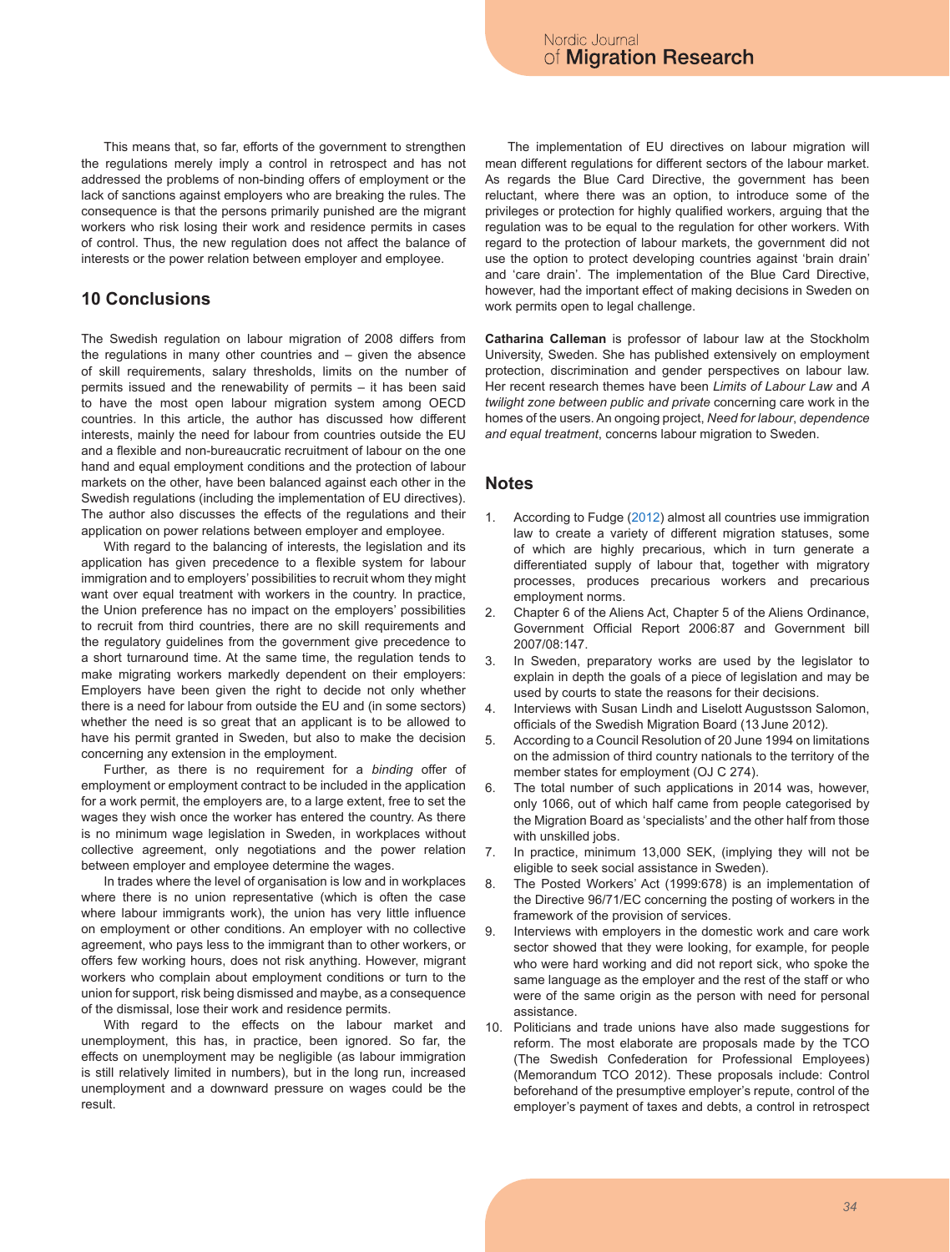This means that, so far, efforts of the government to strengthen the regulations merely imply a control in retrospect and has not addressed the problems of non-binding offers of employment or the lack of sanctions against employers who are breaking the rules. The consequence is that the persons primarily punished are the migrant workers who risk losing their work and residence permits in cases of control. Thus, the new regulation does not affect the balance of interests or the power relation between employer and employee.

# **10 Conclusions**

The Swedish regulation on labour migration of 2008 differs from the regulations in many other countries and – given the absence of skill requirements, salary thresholds, limits on the number of permits issued and the renewability of permits – it has been said to have the most open labour migration system among OECD countries. In this article, the author has discussed how different interests, mainly the need for labour from countries outside the EU and a flexible and non-bureaucratic recruitment of labour on the one hand and equal employment conditions and the protection of labour markets on the other, have been balanced against each other in the Swedish regulations (including the implementation of EU directives). The author also discusses the effects of the regulations and their application on power relations between employer and employee.

With regard to the balancing of interests, the legislation and its application has given precedence to a flexible system for labour immigration and to employers' possibilities to recruit whom they might want over equal treatment with workers in the country. In practice, the Union preference has no impact on the employers' possibilities to recruit from third countries, there are no skill requirements and the regulatory guidelines from the government give precedence to a short turnaround time. At the same time, the regulation tends to make migrating workers markedly dependent on their employers: Employers have been given the right to decide not only whether there is a need for labour from outside the EU and (in some sectors) whether the need is so great that an applicant is to be allowed to have his permit granted in Sweden, but also to make the decision concerning any extension in the employment.

Further, as there is no requirement for a *binding* offer of employment or employment contract to be included in the application for a work permit, the employers are, to a large extent, free to set the wages they wish once the worker has entered the country. As there is no minimum wage legislation in Sweden, in workplaces without collective agreement, only negotiations and the power relation between employer and employee determine the wages.

In trades where the level of organisation is low and in workplaces where there is no union representative (which is often the case where labour immigrants work), the union has very little influence on employment or other conditions. An employer with no collective agreement, who pays less to the immigrant than to other workers, or offers few working hours, does not risk anything. However, migrant workers who complain about employment conditions or turn to the union for support, risk being dismissed and maybe, as a consequence of the dismissal, lose their work and residence permits.

With regard to the effects on the labour market and unemployment, this has, in practice, been ignored. So far, the effects on unemployment may be negligible (as labour immigration is still relatively limited in numbers), but in the long run, increased unemployment and a downward pressure on wages could be the result.

The implementation of EU directives on labour migration will mean different regulations for different sectors of the labour market. As regards the Blue Card Directive, the government has been reluctant, where there was an option, to introduce some of the privileges or protection for highly qualified workers, arguing that the regulation was to be equal to the regulation for other workers. With regard to the protection of labour markets, the government did not use the option to protect developing countries against 'brain drain' and 'care drain'. The implementation of the Blue Card Directive, however, had the important effect of making decisions in Sweden on work permits open to legal challenge.

**Catharina Calleman** is professor of labour law at the Stockholm University, Sweden. She has published extensively on employment protection, discrimination and gender perspectives on labour law. Her recent research themes have been *Limits of Labour Law* and *A twilight zone between public and private* concerning care work in the homes of the users. An ongoing project, *Need for labour*, *dependence and equal treatment*, concerns labour migration to Sweden.

### **Notes**

- 1. According to Fudge (2012) almost all countries use immigration law to create a variety of different migration statuses, some of which are highly precarious, which in turn generate a differentiated supply of labour that, together with migratory processes, produces precarious workers and precarious employment norms.
- 2. Chapter 6 of the Aliens Act, Chapter 5 of the Aliens Ordinance, Government Official Report 2006:87 and Government bill 2007/08:147.
- 3. In Sweden, preparatory works are used by the legislator to explain in depth the goals of a piece of legislation and may be used by courts to state the reasons for their decisions.
- 4. Interviews with Susan Lindh and Liselott Augustsson Salomon, officials of the Swedish Migration Board (13 June 2012).
- 5. According to a Council Resolution of 20 June 1994 on limitations on the admission of third country nationals to the territory of the member states for employment (OJ C 274).
- 6. The total number of such applications in 2014 was, however, only 1066, out of which half came from people categorised by the Migration Board as 'specialists' and the other half from those with unskilled jobs.
- 7. In practice, minimum 13,000 SEK, (implying they will not be eligible to seek social assistance in Sweden).
- 8. The Posted Workers' Act (1999:678) is an implementation of the Directive 96/71/EC concerning the posting of workers in the framework of the provision of services.
- 9. Interviews with employers in the domestic work and care work sector showed that they were looking, for example, for people who were hard working and did not report sick, who spoke the same language as the employer and the rest of the staff or who were of the same origin as the person with need for personal assistance.
- 10. Politicians and trade unions have also made suggestions for reform. The most elaborate are proposals made by the TCO (The Swedish Confederation for Professional Employees) (Memorandum TCO 2012). These proposals include: Control beforehand of the presumptive employer's repute, control of the employer's payment of taxes and debts, a control in retrospect